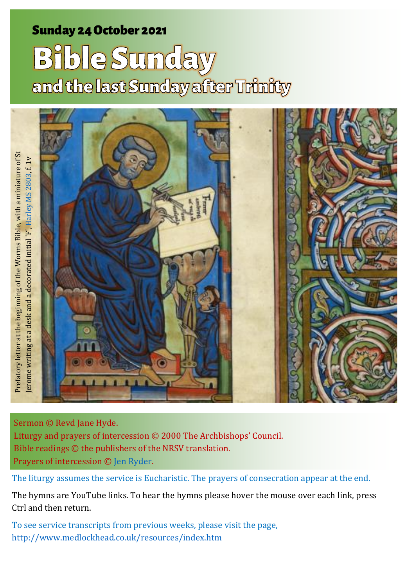# Sunday 24 October 2021 1 Bible Sunday 24 October 2021 1 Bible Sunday 3 **Bible Sunday**<br>and the last Sunday after Trinity

erome writing at a desk and a decorated initial 'F', Harley MS 2803, f. 1v Jerome writing at a desk and a decorated initial 'F', Harley MS 2803, f. 1v

Sermon © Revd Jane Hyde. Liturgy and prayers of intercession © 2000 The Archbishops' Council. Bible readings © the publishers of the NRSV translation. Prayers of intercession © [Jen Ryder.](http://jenryder.co.uk/20110521/prayers/bible-sunday/)

Prefatory letter at the beginning of the Worms Bible, with a miniature of St

Prefatory letter at the beginning of the Worms Bible, with a miniature of St

The liturgy assumes the service is Eucharistic. The prayers of consecration appear at the end.

The hymns are YouTube links. To hear the hymns please hover the mouse over each link, press Ctrl and then return.

To see service transcripts from previous weeks, please visit the page, [http://www.medlockhead.co.uk/resources/index.htm](about:blank)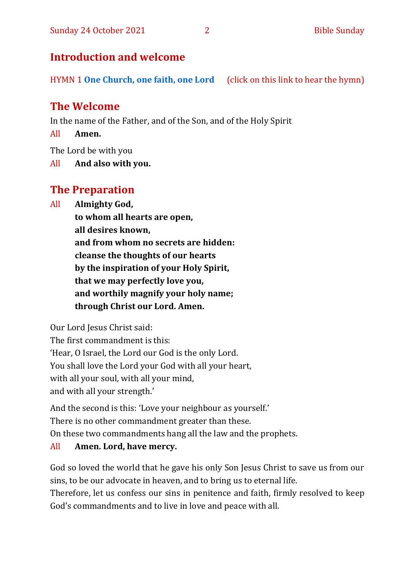## **Introduction and welcome**

HYMN 1 **[One Church, one faith, one Lord](https://www.youtube.com/watch?v=esJ7WWqG-dI&t=28s)** (click on this link to hear the hymn)

# **The Welcome**

In the name of the Father, and of the Son, and of the Holy Spirit

All **Amen.**

The Lord be with you

All **And also with you.**

# **The Preparation**

All **Almighty God,**

**to whom all hearts are open, all desires known, and from whom no secrets are hidden: cleanse the thoughts of our hearts by the inspiration of your Holy Spirit, that we may perfectly love you, and worthily magnify your holy name; through Christ our Lord. Amen.**

Our Lord Jesus Christ said:

The first commandment is this: 'Hear, O Israel, the Lord our God is the only Lord. You shall love the Lord your God with all your heart, with all your soul, with all your mind, and with all your strength.'

And the second is this: 'Love your neighbour as yourself.' There is no other commandment greater than these. On these two commandments hang all the law and the prophets.

#### All **Amen. Lord, have mercy.**

God so loved the world that he gave his only Son Jesus Christ to save us from our sins, to be our advocate in heaven, and to bring us to eternal life. Therefore, let us confess our sins in penitence and faith, firmly resolved to keep God's commandments and to live in love and peace with all.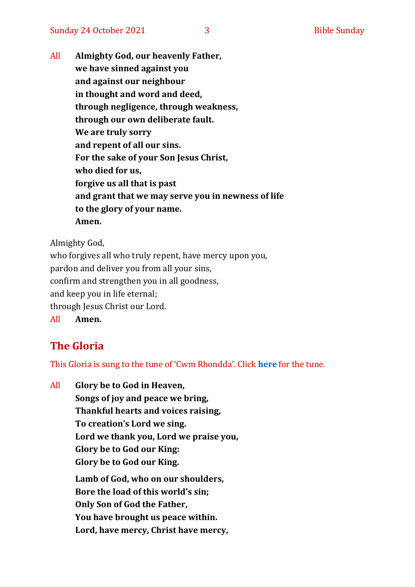All **Almighty God, our heavenly Father, we have sinned against you and against our neighbour in thought and word and deed, through negligence, through weakness, through our own deliberate fault. We are truly sorry and repent of all our sins. For the sake of your Son Jesus Christ, who died for us, forgive us all that is past and grant that we may serve you in newness of life to the glory of your name. Amen.**

Almighty God,

who forgives all who truly repent, have mercy upon you, pardon and deliver you from all your sins, confirm and strengthen you in all goodness, and keep you in life eternal; through Jesus Christ our Lord. All **Amen.**

# **The Gloria**

This Gloria is sung to the tune of 'Cwm Rhondda'. Click **[here](about:blank)** for the tune.

All **Glory be to God in Heaven, Songs of joy and peace we bring, Thankful hearts and voices raising, To creation's Lord we sing. Lord we thank you, Lord we praise you, Glory be to God our King: Glory be to God our King. Lamb of God, who on our shoulders, Bore the load of this world's sin; Only Son of God the Father, You have brought us peace within. Lord, have mercy, Christ have mercy,**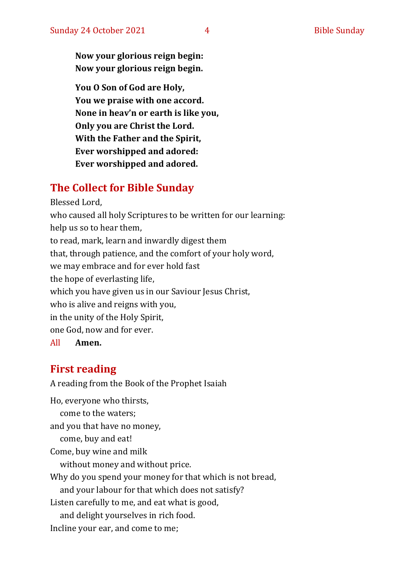**Now your glorious reign begin: Now your glorious reign begin.**

**You O Son of God are Holy, You we praise with one accord. None in heav'n or earth is like you, Only you are Christ the Lord. With the Father and the Spirit, Ever worshipped and adored: Ever worshipped and adored.**

# **The Collect for Bible Sunday**

Blessed Lord, who caused all holy Scriptures to be written for our learning: help us so to hear them, to read, mark, learn and inwardly digest them that, through patience, and the comfort of your holy word, we may embrace and for ever hold fast the hope of everlasting life, which you have given us in our Saviour Jesus Christ, who is alive and reigns with you, in the unity of the Holy Spirit, one God, now and for ever. All **Amen.**

# **First reading**

A reading from the Book of the Prophet Isaiah

Ho, everyone who thirsts, come to the waters; and you that have no money, come, buy and eat! Come, buy wine and milk without money and without price. Why do you spend your money for that which is not bread, and your labour for that which does not satisfy? Listen carefully to me, and eat what is good, and delight yourselves in rich food. Incline your ear, and come to me;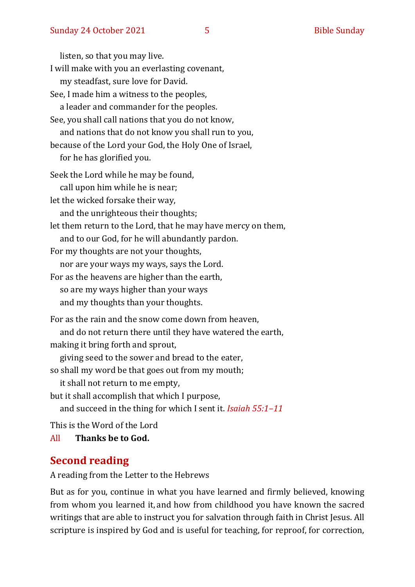listen, so that you may live. I will make with you an everlasting covenant, my steadfast, sure love for David. See, I made him a witness to the peoples, a leader and commander for the peoples. See, you shall call nations that you do not know, and nations that do not know you shall run to you, because of the Lord your God, the Holy One of Israel, for he has glorified you. Seek the Lord while he may be found, call upon him while he is near; let the wicked forsake their way, and the unrighteous their thoughts; let them return to the Lord, that he may have mercy on them, and to our God, for he will abundantly pardon. For my thoughts are not your thoughts, nor are your ways my ways, says the Lord. For as the heavens are higher than the earth, so are my ways higher than your ways and my thoughts than your thoughts. For as the rain and the snow come down from heaven, and do not return there until they have watered the earth, making it bring forth and sprout, giving seed to the sower and bread to the eater, so shall my word be that goes out from my mouth; it shall not return to me empty, but it shall accomplish that which I purpose, and succeed in the thing for which I sent it. *Isaiah 55:1–11* This is the Word of the Lord

All **Thanks be to God.**

# **Second reading**

A reading from the Letter to the Hebrews

But as for you, continue in what you have learned and firmly believed, knowing from whom you learned it, and how from childhood you have known the sacred writings that are able to instruct you for salvation through faith in Christ Jesus. All scripture is inspired by God and is useful for teaching, for reproof, for correction,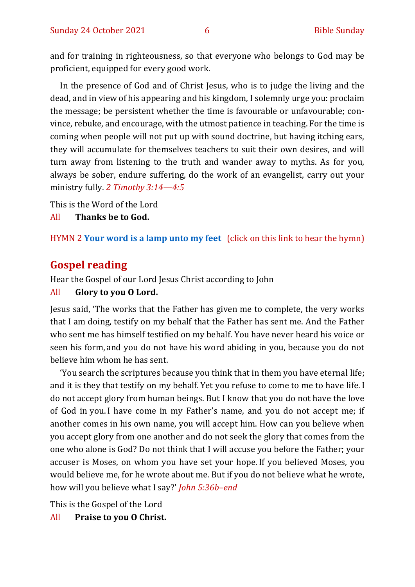and for training in righteousness, so that everyone who belongs to God may be proficient, equipped for every good work.

In the presence of God and of Christ Jesus, who is to judge the living and the dead, and in view of his appearing and his kingdom, I solemnly urge you: proclaim the message; be persistent whether the time is favourable or unfavourable; convince, rebuke, and encourage, with the utmost patience in teaching. For the time is coming when people will not put up with sound doctrine, but having itching ears, they will accumulate for themselves teachers to suit their own desires, and will turn away from listening to the truth and wander away to myths. As for you, always be sober, endure suffering, do the work of an evangelist, carry out your ministry fully. *2 Timothy 3:14—4:5*

This is the Word of the Lord

All **Thanks be to God.**

HYMN 2 **[Your word is a lamp unto my feet](https://www.youtube.com/watch?v=npWJZwgmKMo)** (click on this link to hear the hymn)

### **Gospel reading**

Hear the Gospel of our Lord Jesus Christ according to John

All **Glory to you O Lord.**

Jesus said, 'The works that the Father has given me to complete, the very works that I am doing, testify on my behalf that the Father has sent me. And the Father who sent me has himself testified on my behalf. You have never heard his voice or seen his form, and you do not have his word abiding in you, because you do not believe him whom he has sent.

'You search the scriptures because you think that in them you have eternal life; and it is they that testify on my behalf. Yet you refuse to come to me to have life. I do not accept glory from human beings. But I know that you do not have the love of God in you.I have come in my Father's name, and you do not accept me; if another comes in his own name, you will accept him. How can you believe when you accept glory from one another and do not seek the glory that comes from the one who alone is God? Do not think that I will accuse you before the Father; your accuser is Moses, on whom you have set your hope. If you believed Moses, you would believe me, for he wrote about me. But if you do not believe what he wrote, how will you believe what I say?' *John 5:36b–end*

This is the Gospel of the Lord

All **Praise to you O Christ.**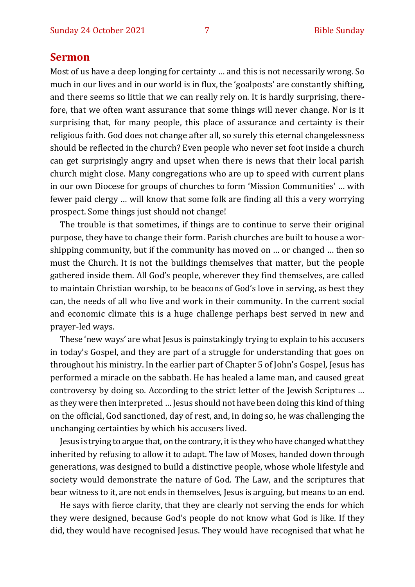#### **Sermon**

Most of us have a deep longing for certainty … and this is not necessarily wrong. So much in our lives and in our world is in flux, the 'goalposts' are constantly shifting, and there seems so little that we can really rely on. It is hardly surprising, therefore, that we often want assurance that some things will never change. Nor is it surprising that, for many people, this place of assurance and certainty is their religious faith. God does not change after all, so surely this eternal changelessness should be reflected in the church? Even people who never set foot inside a church can get surprisingly angry and upset when there is news that their local parish church might close. Many congregations who are up to speed with current plans in our own Diocese for groups of churches to form 'Mission Communities' … with fewer paid clergy … will know that some folk are finding all this a very worrying prospect. Some things just should not change!

The trouble is that sometimes, if things are to continue to serve their original purpose, they have to change their form. Parish churches are built to house a worshipping community, but if the community has moved on … or changed … then so must the Church. It is not the buildings themselves that matter, but the people gathered inside them. All God's people, wherever they find themselves, are called to maintain Christian worship, to be beacons of God's love in serving, as best they can, the needs of all who live and work in their community. In the current social and economic climate this is a huge challenge perhaps best served in new and prayer-led ways.

These 'new ways' are what Jesus is painstakingly trying to explain to his accusers in today's Gospel, and they are part of a struggle for understanding that goes on throughout his ministry. In the earlier part of Chapter 5 of John's Gospel, Jesus has performed a miracle on the sabbath. He has healed a lame man, and caused great controversy by doing so. According to the strict letter of the Jewish Scriptures … as they were then interpreted … Jesus should not have been doing this kind of thing on the official, God sanctioned, day of rest, and, in doing so, he was challenging the unchanging certainties by which his accusers lived.

Jesus is trying to argue that, on the contrary, it is they who have changed what they inherited by refusing to allow it to adapt. The law of Moses, handed down through generations, was designed to build a distinctive people, whose whole lifestyle and society would demonstrate the nature of God. The Law, and the scriptures that bear witness to it, are not ends in themselves, Jesus is arguing, but means to an end.

He says with fierce clarity, that they are clearly not serving the ends for which they were designed, because God's people do not know what God is like. If they did, they would have recognised Jesus. They would have recognised that what he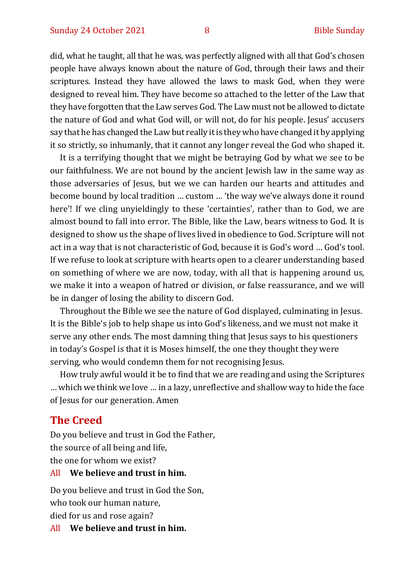did, what he taught, all that he was, was perfectly aligned with all that God's chosen people have always known about the nature of God, through their laws and their scriptures. Instead they have allowed the laws to mask God, when they were designed to reveal him. They have become so attached to the letter of the Law that they have forgotten that the Law serves God. The Law must not be allowed to dictate the nature of God and what God will, or will not, do for his people. Jesus' accusers say that he has changed the Law but really it is they who have changed it by applying it so strictly, so inhumanly, that it cannot any longer reveal the God who shaped it.

It is a terrifying thought that we might be betraying God by what we see to be our faithfulness. We are not bound by the ancient Jewish law in the same way as those adversaries of Jesus, but we we can harden our hearts and attitudes and become bound by local tradition … custom … 'the way we've always done it round here'! If we cling unyieldingly to these 'certainties', rather than to God, we are almost bound to fall into error. The Bible, like the Law, bears witness to God. It is designed to show us the shape of lives lived in obedience to God. Scripture will not act in a way that is not characteristic of God, because it is God's word … God's tool. If we refuse to look at scripture with hearts open to a clearer understanding based on something of where we are now, today, with all that is happening around us, we make it into a weapon of hatred or division, or false reassurance, and we will be in danger of losing the ability to discern God.

Throughout the Bible we see the nature of God displayed, culminating in Jesus. It is the Bible's job to help shape us into God's likeness, and we must not make it serve any other ends. The most damning thing that Jesus says to his questioners in today's Gospel is that it is Moses himself, the one they thought they were serving, who would condemn them for not recognising Jesus.

How truly awful would it be to find that we are reading and using the Scriptures … which we think we love … in a lazy, unreflective and shallow way to hide the face of Jesus for our generation. Amen

#### **The Creed**

Do you believe and trust in God the Father, the source of all being and life, the one for whom we exist?

#### All **We believe and trust in him.**

Do you believe and trust in God the Son, who took our human nature, died for us and rose again?

All **We believe and trust in him.**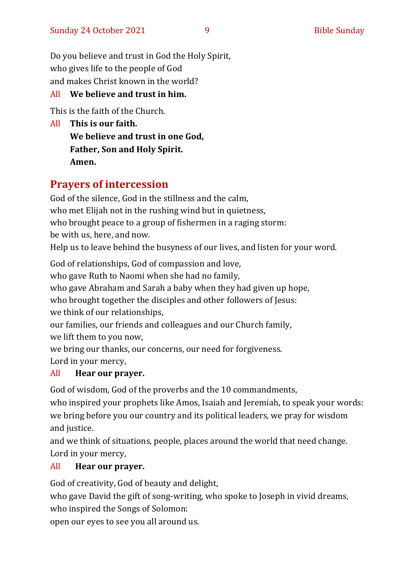Do you believe and trust in God the Holy Spirit, who gives life to the people of God and makes Christ known in the world?

#### All **We believe and trust in him.**

This is the faith of the Church.

All **This is our faith. We believe and trust in one God, Father, Son and Holy Spirit. Amen.**

# **Prayers of intercession**

God of the silence, God in the stillness and the calm, who met Elijah not in the rushing wind but in quietness, who brought peace to a group of fishermen in a raging storm: be with us, here, and now. Help us to leave behind the busyness of our lives, and listen for your word.

God of relationships, God of compassion and love, who gave Ruth to Naomi when she had no family, who gave Abraham and Sarah a baby when they had given up hope, who brought together the disciples and other followers of Jesus: we think of our relationships,

our families, our friends and colleagues and our Church family, we lift them to you now,

we bring our thanks, our concerns, our need for forgiveness.

Lord in your mercy,

#### All **Hear our prayer.**

God of wisdom, God of the proverbs and the 10 commandments,

who inspired your prophets like Amos, Isaiah and Jeremiah, to speak your words: we bring before you our country and its political leaders, we pray for wisdom and justice.

and we think of situations, people, places around the world that need change. Lord in your mercy,

#### All **Hear our prayer.**

God of creativity, God of beauty and delight,

who gave David the gift of song-writing, who spoke to Joseph in vivid dreams, who inspired the Songs of Solomon:

open our eyes to see you all around us.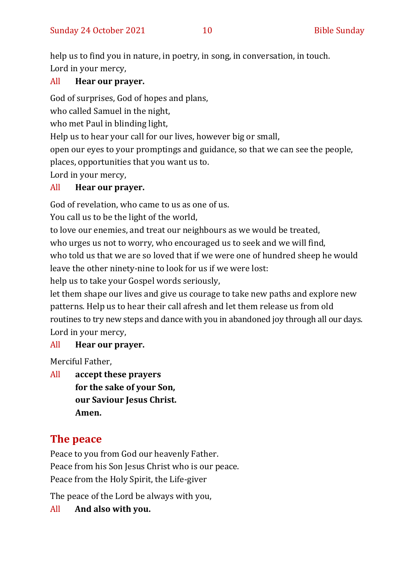help us to find you in nature, in poetry, in song, in conversation, in touch. Lord in your mercy,

#### All **Hear our prayer.**

God of surprises, God of hopes and plans,

who called Samuel in the night,

who met Paul in blinding light,

Help us to hear your call for our lives, however big or small,

open our eyes to your promptings and guidance, so that we can see the people,

places, opportunities that you want us to.

Lord in your mercy,

#### All **Hear our prayer.**

God of revelation, who came to us as one of us.

You call us to be the light of the world,

to love our enemies, and treat our neighbours as we would be treated, who urges us not to worry, who encouraged us to seek and we will find, who told us that we are so loved that if we were one of hundred sheep he would leave the other ninety-nine to look for us if we were lost:

help us to take your Gospel words seriously,

let them shape our lives and give us courage to take new paths and explore new patterns. Help us to hear their call afresh and let them release us from old routines to try new steps and dance with you in abandoned joy through all our days. Lord in your mercy,

#### All **Hear our prayer.**

Merciful Father,

All **accept these prayers for the sake of your Son, our Saviour Jesus Christ. Amen.**

# **The peace**

Peace to you from God our heavenly Father. Peace from his Son Jesus Christ who is our peace. Peace from the Holy Spirit, the Life-giver

The peace of the Lord be always with you,

#### All **And also with you.**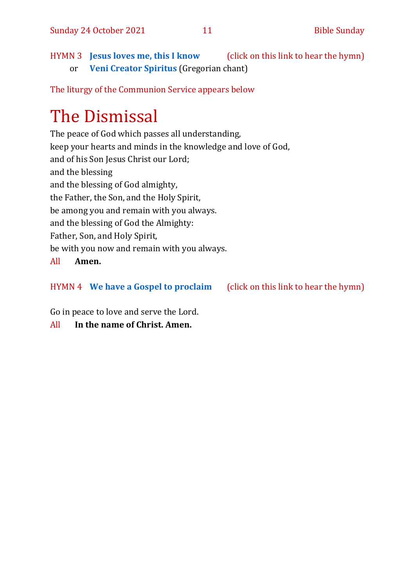HYMN 3 **[Jesus loves me, this I know](https://www.youtube.com/watch?v=L0NkzLLNPmA&feature=youtu.be)** (click on this link to hear the hymn) or **[Veni Creator Spiritus](https://www.youtube.com/watch?v=HEKuxUOPzk8&t=22s)** (Gregorian chant)

The liturgy of the Communion Service appears below

# The Dismissal

The peace of God which passes all understanding, keep your hearts and minds in the knowledge and love of God, and of his Son Jesus Christ our Lord; and the blessing and the blessing of God almighty, the Father, the Son, and the Holy Spirit, be among you and remain with you always. and the blessing of God the Almighty: Father, Son, and Holy Spirit, be with you now and remain with you always.

#### All **Amen.**

#### HYMN 4 **[We have a Gospel to proclaim](https://www.youtube.com/watch?v=E-SPYAgCtkw)** (click on this link to hear the hymn)

Go in peace to love and serve the Lord.

All **In the name of Christ. Amen.**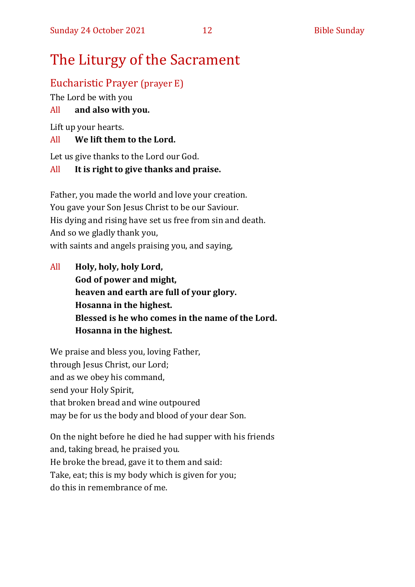# The Liturgy of the Sacrament

# Eucharistic Prayer (prayer E)

The Lord be with you

## All **and also with you.**

Lift up your hearts.

### All **We lift them to the Lord.**

Let us give thanks to the Lord our God.

### All **It is right to give thanks and praise.**

Father, you made the world and love your creation. You gave your Son Jesus Christ to be our Saviour. His dying and rising have set us free from sin and death. And so we gladly thank you, with saints and angels praising you, and saying,

All **Holy, holy, holy Lord, God of power and might, heaven and earth are full of your glory. Hosanna in the highest. Blessed is he who comes in the name of the Lord. Hosanna in the highest.**

We praise and bless you, loving Father, through Jesus Christ, our Lord; and as we obey his command, send your Holy Spirit, that broken bread and wine outpoured may be for us the body and blood of your dear Son.

On the night before he died he had supper with his friends and, taking bread, he praised you. He broke the bread, gave it to them and said: Take, eat; this is my body which is given for you; do this in remembrance of me.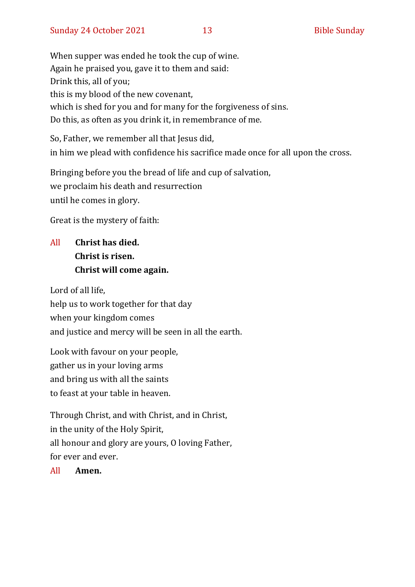When supper was ended he took the cup of wine. Again he praised you, gave it to them and said: Drink this, all of you; this is my blood of the new covenant, which is shed for you and for many for the forgiveness of sins. Do this, as often as you drink it, in remembrance of me.

So, Father, we remember all that Jesus did, in him we plead with confidence his sacrifice made once for all upon the cross.

Bringing before you the bread of life and cup of salvation, we proclaim his death and resurrection until he comes in glory.

Great is the mystery of faith:

# All **Christ has died. Christ is risen. Christ will come again.**

Lord of all life, help us to work together for that day when your kingdom comes and justice and mercy will be seen in all the earth.

Look with favour on your people, gather us in your loving arms and bring us with all the saints to feast at your table in heaven.

Through Christ, and with Christ, and in Christ, in the unity of the Holy Spirit, all honour and glory are yours, O loving Father, for ever and ever.

All **Amen.**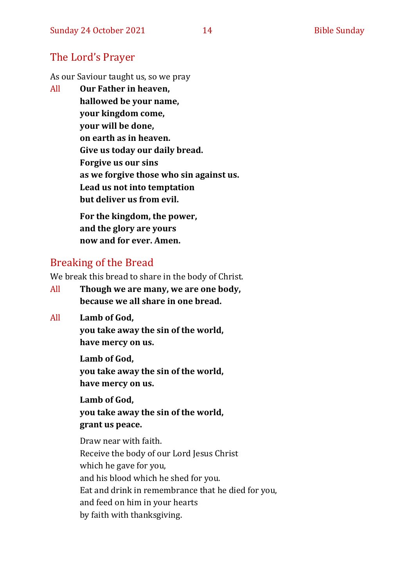## The Lord's Prayer

As our Saviour taught us, so we pray

All **Our Father in heaven, hallowed be your name, your kingdom come, your will be done, on earth as in heaven. Give us today our daily bread. Forgive us our sins as we forgive those who sin against us. Lead us not into temptation but deliver us from evil. For the kingdom, the power,** 

**and the glory are yours now and for ever. Amen.**

# Breaking of the Bread

We break this bread to share in the body of Christ.

- All **Though we are many, we are one body, because we all share in one bread.**
- All **Lamb of God,**

**you take away the sin of the world, have mercy on us.**

**Lamb of God, you take away the sin of the world, have mercy on us.**

**Lamb of God, you take away the sin of the world, grant us peace.**

Draw near with faith. Receive the body of our Lord Jesus Christ which he gave for you, and his blood which he shed for you. Eat and drink in remembrance that he died for you, and feed on him in your hearts by faith with thanksgiving.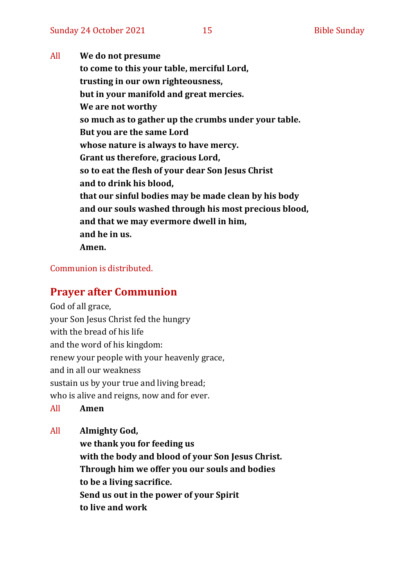All **We do not presume to come to this your table, merciful Lord, trusting in our own righteousness, but in your manifold and great mercies. We are not worthy so much as to gather up the crumbs under your table. But you are the same Lord whose nature is always to have mercy. Grant us therefore, gracious Lord, so to eat the flesh of your dear Son Jesus Christ and to drink his blood, that our sinful bodies may be made clean by his body and our souls washed through his most precious blood, and that we may evermore dwell in him, and he in us. Amen.**

#### Communion is distributed.

#### **Prayer after Communion**

God of all grace, your Son Jesus Christ fed the hungry with the bread of his life and the word of his kingdom: renew your people with your heavenly grace, and in all our weakness sustain us by your true and living bread; who is alive and reigns, now and for ever.

All **Amen**

All **Almighty God,**

**we thank you for feeding us with the body and blood of your Son Jesus Christ. Through him we offer you our souls and bodies to be a living sacrifice. Send us out in the power of your Spirit to live and work**